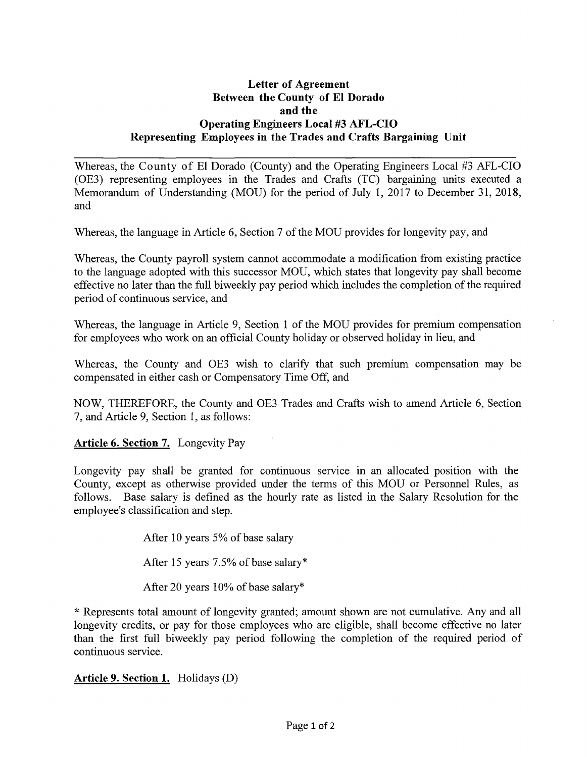## **Letter of Agreement Between the County of El Dorado and the Operating Engineers Local #3 AFL-CIO Representing Employees in the Trades and Crafts Bargaining Unit**

Whereas, the County of El Dorado (County) and the Operating Engineers Local #3 AFL-CIO (OE3) representing employees in the Trades and Crafts (TC) bargaining units executed a Memorandum of Understanding (MOU) for the period of July 1, 2017 to December 31, 2018, and

Whereas, the language in Article 6, Section 7 of the MOU provides for longevity pay, and

Whereas, the County payroll system cannot accommodate a modification from existing practice to the language adopted with this successor MOU, which states that longevity pay shall become effective no later than the full biweekly pay period which includes the completion of the required period of continuous service, and

Whereas, the language in Article 9, Section 1 of the MOU provides for premium compensation for employees who work on an official County holiday or observed holiday in lieu, and

Whereas, the County and OE3 wish to clarify that such premium compensation may be compensated in either cash or Compensatory Time Off, and

NOW, THEREFORE, the County and OE3 Trades and Crafts wish to amend Article 6, Section 7, and Article 9, Section 1, as follows:

**Article 6. Section** 7. Longevity Pay

Longevity pay shall be granted for continuous service in an allocated position with the County, except as otherwise provided under the terms of this MOU or Personnel Rules, as follows. Base salary is defined as the hourly rate as listed in the Salary Resolution for the employee's classification and step.

After 10 years 5% of base salary

After 15 years 7.5% of base salary\*

After 20 years 10% of base salary\*

\* Represents total amount of longevity granted; amount shown are not cumulative. Any and all longevity credits, or pay for those employees who are eligible, shall become effective no later than the first full biweekly pay period following the completion of the required period of continuous service.

**Article 9. Section 1.** Holidays (D)